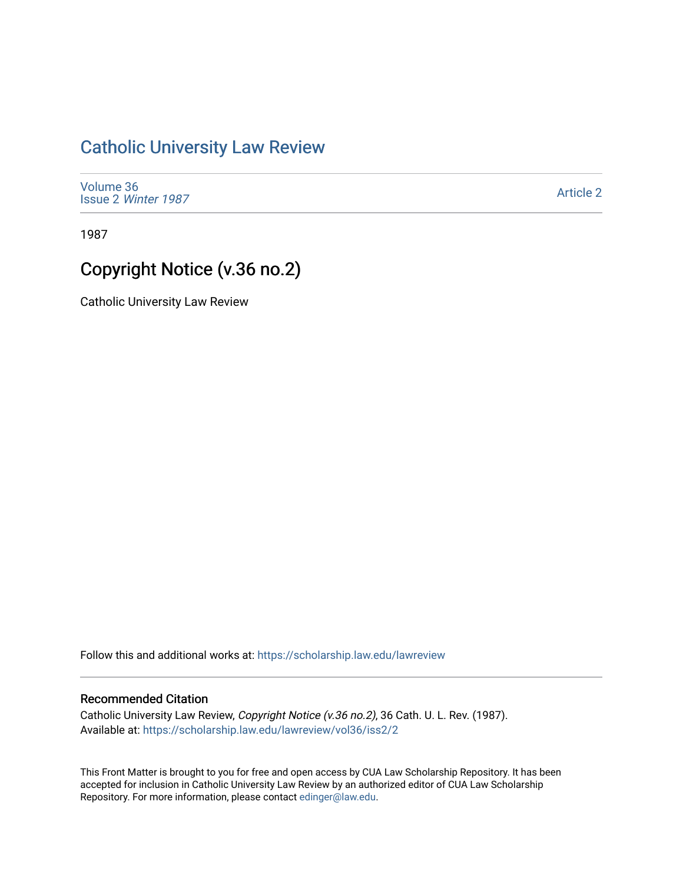## [Catholic University Law Review](https://scholarship.law.edu/lawreview)

[Volume 36](https://scholarship.law.edu/lawreview/vol36) Issue 2 [Winter 1987](https://scholarship.law.edu/lawreview/vol36/iss2) 

[Article 2](https://scholarship.law.edu/lawreview/vol36/iss2/2) 

1987

# Copyright Notice (v.36 no.2)

Catholic University Law Review

Follow this and additional works at: [https://scholarship.law.edu/lawreview](https://scholarship.law.edu/lawreview?utm_source=scholarship.law.edu%2Flawreview%2Fvol36%2Fiss2%2F2&utm_medium=PDF&utm_campaign=PDFCoverPages)

### Recommended Citation

Catholic University Law Review, Copyright Notice (v.36 no.2), 36 Cath. U. L. Rev. (1987). Available at: [https://scholarship.law.edu/lawreview/vol36/iss2/2](https://scholarship.law.edu/lawreview/vol36/iss2/2?utm_source=scholarship.law.edu%2Flawreview%2Fvol36%2Fiss2%2F2&utm_medium=PDF&utm_campaign=PDFCoverPages)

This Front Matter is brought to you for free and open access by CUA Law Scholarship Repository. It has been accepted for inclusion in Catholic University Law Review by an authorized editor of CUA Law Scholarship Repository. For more information, please contact [edinger@law.edu.](mailto:edinger@law.edu)